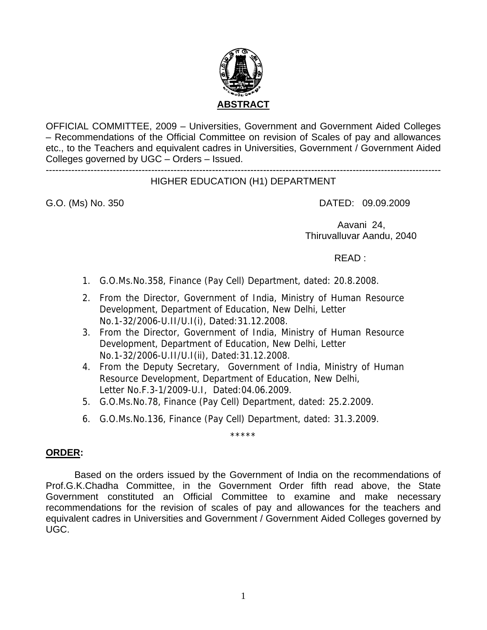

OFFICIAL COMMITTEE, 2009 – Universities, Government and Government Aided Colleges – Recommendations of the Official Committee on revision of Scales of pay and allowances etc., to the Teachers and equivalent cadres in Universities, Government / Government Aided Colleges governed by UGC – Orders – Issued.

#### ---------------------------------------------------------------------------------------------------------------------------- HIGHER EDUCATION (H1) DEPARTMENT

G.O. (Ms) No. 350 **DATED: 09.09.2009** 

 Aavani 24, Thiruvalluvar Aandu, 2040

READ :

- 1. G.O.Ms.No.358, Finance (Pay Cell) Department, dated: 20.8.2008.
- 2. From the Director, Government of India, Ministry of Human Resource Development, Department of Education, New Delhi, Letter No.1-32/2006-U.II/U.I(i), Dated:31.12.2008.
- 3. From the Director, Government of India, Ministry of Human Resource Development, Department of Education, New Delhi, Letter No.1-32/2006-U.II/U.I(ii), Dated:31.12.2008.
- 4. From the Deputy Secretary, Government of India, Ministry of Human Resource Development, Department of Education, New Delhi, Letter No.F.3-1/2009-U.I, Dated:04.06.2009.
- 5. G.O.Ms.No.78, Finance (Pay Cell) Department, dated: 25.2.2009.
- 6. G.O.Ms.No.136, Finance (Pay Cell) Department, dated: 31.3.2009.

\*\*\*\*\*

# **ORDER:**

 Based on the orders issued by the Government of India on the recommendations of Prof.G.K.Chadha Committee, in the Government Order fifth read above, the State Government constituted an Official Committee to examine and make necessary recommendations for the revision of scales of pay and allowances for the teachers and equivalent cadres in Universities and Government / Government Aided Colleges governed by UGC.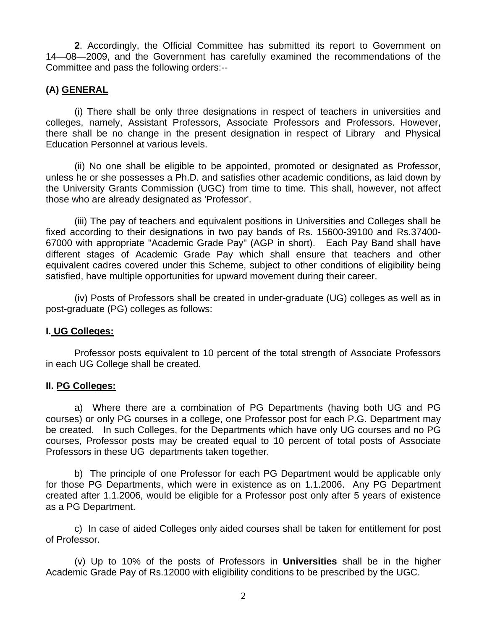**2**. Accordingly, the Official Committee has submitted its report to Government on 14—08—2009, and the Government has carefully examined the recommendations of the Committee and pass the following orders:--

# **(A) GENERAL**

 (i) There shall be only three designations in respect of teachers in universities and colleges, namely, Assistant Professors, Associate Professors and Professors. However, there shall be no change in the present designation in respect of Library and Physical Education Personnel at various levels.

 (ii) No one shall be eligible to be appointed, promoted or designated as Professor, unless he or she possesses a Ph.D. and satisfies other academic conditions, as laid down by the University Grants Commission (UGC) from time to time. This shall, however, not affect those who are already designated as 'Professor'.

 (iii) The pay of teachers and equivalent positions in Universities and Colleges shall be fixed according to their designations in two pay bands of Rs. 15600-39100 and Rs.37400- 67000 with appropriate "Academic Grade Pay" (AGP in short). Each Pay Band shall have different stages of Academic Grade Pay which shall ensure that teachers and other equivalent cadres covered under this Scheme, subject to other conditions of eligibility being satisfied, have multiple opportunities for upward movement during their career.

 (iv) Posts of Professors shall be created in under-graduate (UG) colleges as well as in post-graduate (PG) colleges as follows:

# **I. UG Colleges:**

 Professor posts equivalent to 10 percent of the total strength of Associate Professors in each UG College shall be created.

# **II. PG Colleges:**

 a) Where there are a combination of PG Departments (having both UG and PG courses) or only PG courses in a college, one Professor post for each P.G. Department may be created. In such Colleges, for the Departments which have only UG courses and no PG courses, Professor posts may be created equal to 10 percent of total posts of Associate Professors in these UG departments taken together.

 b) The principle of one Professor for each PG Department would be applicable only for those PG Departments, which were in existence as on 1.1.2006. Any PG Department created after 1.1.2006, would be eligible for a Professor post only after 5 years of existence as a PG Department.

c) In case of aided Colleges only aided courses shall be taken for entitlement for post of Professor.

 (v) Up to 10% of the posts of Professors in **Universities** shall be in the higher Academic Grade Pay of Rs.12000 with eligibility conditions to be prescribed by the UGC.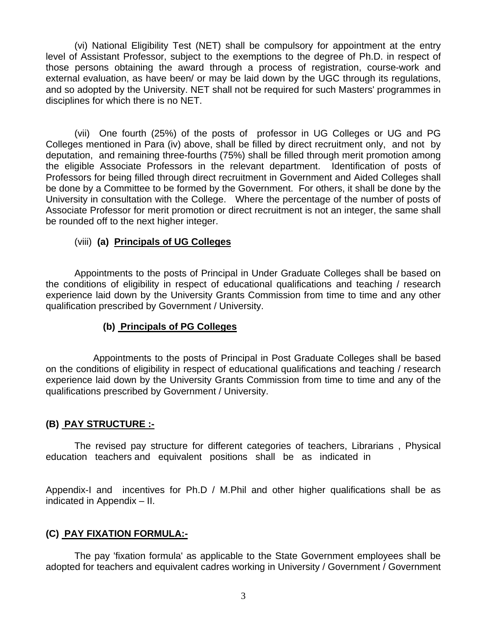(vi) National Eligibility Test (NET) shall be compulsory for appointment at the entry level of Assistant Professor, subject to the exemptions to the degree of Ph.D. in respect of those persons obtaining the award through a process of registration, course-work and external evaluation, as have been/ or may be laid down by the UGC through its regulations, and so adopted by the University. NET shall not be required for such Masters' programmes in disciplines for which there is no NET.

 (vii) One fourth (25%) of the posts of professor in UG Colleges or UG and PG Colleges mentioned in Para (iv) above, shall be filled by direct recruitment only, and not by deputation, and remaining three-fourths (75%) shall be filled through merit promotion among the eligible Associate Professors in the relevant department. Identification of posts of Professors for being filled through direct recruitment in Government and Aided Colleges shall be done by a Committee to be formed by the Government. For others, it shall be done by the University in consultation with the College. Where the percentage of the number of posts of Associate Professor for merit promotion or direct recruitment is not an integer, the same shall be rounded off to the next higher integer.

# (viii) **(a) Principals of UG Colleges**

 Appointments to the posts of Principal in Under Graduate Colleges shall be based on the conditions of eligibility in respect of educational qualifications and teaching / research experience laid down by the University Grants Commission from time to time and any other qualification prescribed by Government / University.

# **(b) Principals of PG Colleges**

 Appointments to the posts of Principal in Post Graduate Colleges shall be based on the conditions of eligibility in respect of educational qualifications and teaching / research experience laid down by the University Grants Commission from time to time and any of the qualifications prescribed by Government / University.

# **(B) PAY STRUCTURE :-**

 The revised pay structure for different categories of teachers, Librarians , Physical education teachers and equivalent positions shall be as indicated in

Appendix-I and incentives for Ph.D / M.Phil and other higher qualifications shall be as indicated in Appendix – II.

# **(C) PAY FIXATION FORMULA:-**

 The pay 'fixation formula' as applicable to the State Government employees shall be adopted for teachers and equivalent cadres working in University / Government / Government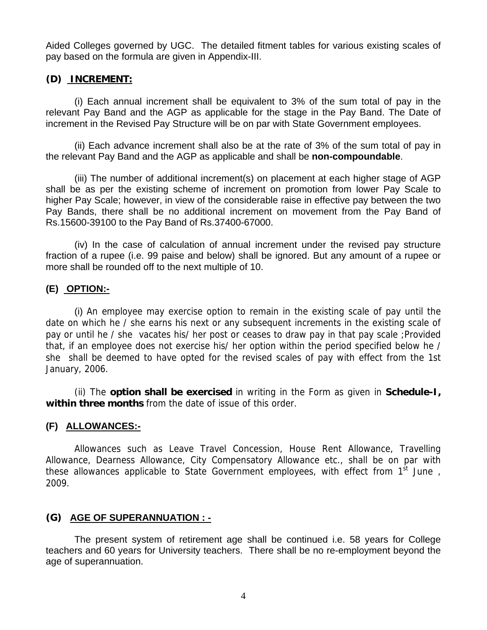Aided Colleges governed by UGC. The detailed fitment tables for various existing scales of pay based on the formula are given in Appendix-III.

# **(D) INCREMENT:**

 (i) Each annual increment shall be equivalent to 3% of the sum total of pay in the relevant Pay Band and the AGP as applicable for the stage in the Pay Band. The Date of increment in the Revised Pay Structure will be on par with State Government employees.

 (ii) Each advance increment shall also be at the rate of 3% of the sum total of pay in the relevant Pay Band and the AGP as applicable and shall be **non-compoundable**.

 (iii) The number of additional increment(s) on placement at each higher stage of AGP shall be as per the existing scheme of increment on promotion from lower Pay Scale to higher Pay Scale; however, in view of the considerable raise in effective pay between the two Pay Bands, there shall be no additional increment on movement from the Pay Band of Rs.15600-39100 to the Pay Band of Rs.37400-67000.

(iv) In the case of calculation of annual increment under the revised pay structure fraction of a rupee (i.e. 99 paise and below) shall be ignored. But any amount of a rupee or more shall be rounded off to the next multiple of 10.

# **(E) OPTION:-**

(i) An employee may exercise option to remain in the existing scale of pay until the date on which he / she earns his next or any subsequent increments in the existing scale of pay or until he / she vacates his/ her post or ceases to draw pay in that pay scale ;Provided that, if an employee does not exercise his/ her option within the period specified below he / she shall be deemed to have opted for the revised scales of pay with effect from the 1st January, 2006.

 (ii) The **option shall be exercised** in writing in the Form as given in **Schedule-I, within three months** from the date of issue of this order.

# **(F) ALLOWANCES:-**

Allowances such as Leave Travel Concession, House Rent Allowance, Travelling Allowance, Dearness Allowance, City Compensatory Allowance etc., shall be on par with these allowances applicable to State Government employees, with effect from 1<sup>st</sup> June, 2009.

# **(G) AGE OF SUPERANNUATION : -**

 The present system of retirement age shall be continued i.e. 58 years for College teachers and 60 years for University teachers. There shall be no re-employment beyond the age of superannuation.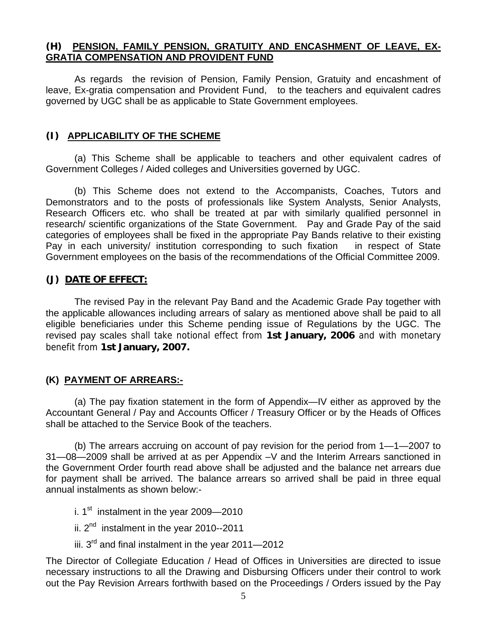# **(H) PENSION, FAMILY PENSION, GRATUITY AND ENCASHMENT OF LEAVE, EX-GRATIA COMPENSATION AND PROVIDENT FUND**

As regards the revision of Pension, Family Pension, Gratuity and encashment of leave, Ex-gratia compensation and Provident Fund, to the teachers and equivalent cadres governed by UGC shall be as applicable to State Government employees.

# **(I) APPLICABILITY OF THE SCHEME**

 (a) This Scheme shall be applicable to teachers and other equivalent cadres of Government Colleges / Aided colleges and Universities governed by UGC.

 (b) This Scheme does not extend to the Accompanists, Coaches, Tutors and Demonstrators and to the posts of professionals like System Analysts, Senior Analysts, Research Officers etc. who shall be treated at par with similarly qualified personnel in research/ scientific organizations of the State Government. Pay and Grade Pay of the said categories of employees shall be fixed in the appropriate Pay Bands relative to their existing Pay in each university/ institution corresponding to such fixation in respect of State Government employees on the basis of the recommendations of the Official Committee 2009.

# **(J) DATE OF EFFECT:**

The revised Pay in the relevant Pay Band and the Academic Grade Pay together with the applicable allowances including arrears of salary as mentioned above shall be paid to all eligible beneficiaries under this Scheme pending issue of Regulations by the UGC. The revised pay scales shall take notional effect from **1st January, 2006** and with monetary benefit from **1st January, 2007.** 

# **(K) PAYMENT OF ARREARS:-**

 (a) The pay fixation statement in the form of Appendix—IV either as approved by the Accountant General / Pay and Accounts Officer / Treasury Officer or by the Heads of Offices shall be attached to the Service Book of the teachers.

 (b) The arrears accruing on account of pay revision for the period from 1—1—2007 to 31—08—2009 shall be arrived at as per Appendix –V and the Interim Arrears sanctioned in the Government Order fourth read above shall be adjusted and the balance net arrears due for payment shall be arrived. The balance arrears so arrived shall be paid in three equal annual instalments as shown below:-

- i.  $1<sup>st</sup>$  instalment in the year 2009—2010
- ii.  $2<sup>nd</sup>$  instalment in the year 2010--2011
- iii.  $3^{rd}$  and final instalment in the year 2011–2012

The Director of Collegiate Education / Head of Offices in Universities are directed to issue necessary instructions to all the Drawing and Disbursing Officers under their control to work out the Pay Revision Arrears forthwith based on the Proceedings / Orders issued by the Pay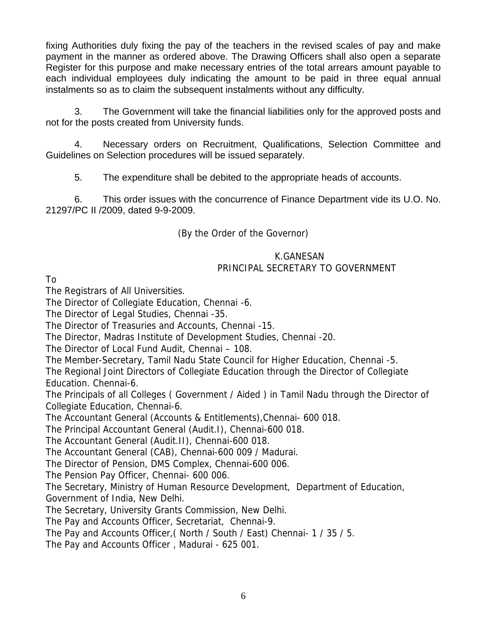fixing Authorities duly fixing the pay of the teachers in the revised scales of pay and make payment in the manner as ordered above. The Drawing Officers shall also open a separate Register for this purpose and make necessary entries of the total arrears amount payable to each individual employees duly indicating the amount to be paid in three equal annual instalments so as to claim the subsequent instalments without any difficulty.

 3. The Government will take the financial liabilities only for the approved posts and not for the posts created from University funds.

 4. Necessary orders on Recruitment, Qualifications, Selection Committee and Guidelines on Selection procedures will be issued separately.

5. The expenditure shall be debited to the appropriate heads of accounts.

 6. This order issues with the concurrence of Finance Department vide its U.O. No. 21297/PC II /2009, dated 9-9-2009.

(By the Order of the Governor)

# K.GANESAN PRINCIPAL SECRETARY TO GOVERNMENT

To

The Registrars of All Universities.

The Director of Collegiate Education, Chennai -6.

The Director of Legal Studies, Chennai -35.

The Director of Treasuries and Accounts, Chennai -15.

The Director, Madras Institute of Development Studies, Chennai -20.

The Director of Local Fund Audit, Chennai – 108.

The Member-Secretary, Tamil Nadu State Council for Higher Education, Chennai -5.

The Regional Joint Directors of Collegiate Education through the Director of Collegiate Education. Chennai-6.

The Principals of all Colleges ( Government / Aided ) in Tamil Nadu through the Director of Collegiate Education, Chennai-6.

The Accountant General (Accounts & Entitlements),Chennai- 600 018.

The Principal Accountant General (Audit.I), Chennai-600 018.

The Accountant General (Audit.II), Chennai-600 018.

The Accountant General (CAB), Chennai-600 009 / Madurai.

The Director of Pension, DMS Complex, Chennai-600 006.

The Pension Pay Officer, Chennai- 600 006.

The Secretary, Ministry of Human Resource Development, Department of Education, Government of India, New Delhi.

The Secretary, University Grants Commission, New Delhi.

The Pay and Accounts Officer, Secretariat, Chennai-9.

The Pay and Accounts Officer,( North / South / East) Chennai- 1 / 35 / 5.

The Pay and Accounts Officer , Madurai - 625 001.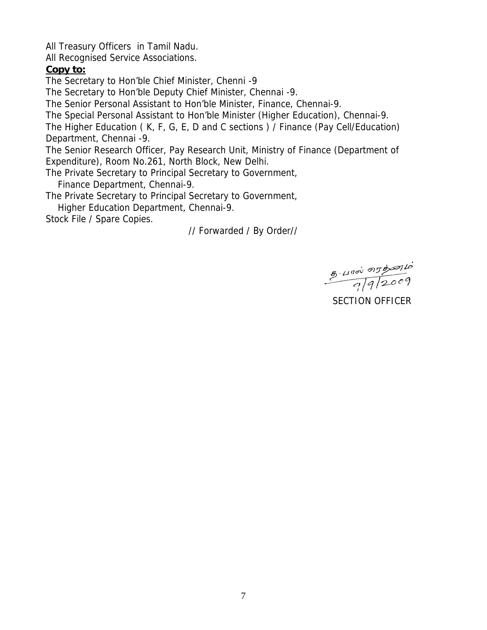All Treasury Officers in Tamil Nadu.

All Recognised Service Associations.

# **Copy to:**

The Secretary to Hon'ble Chief Minister, Chenni -9

The Secretary to Hon'ble Deputy Chief Minister, Chennai -9.

The Senior Personal Assistant to Hon'ble Minister, Finance, Chennai-9.

The Special Personal Assistant to Hon'ble Minister (Higher Education), Chennai-9.

The Higher Education ( K, F, G, E, D and C sections ) / Finance (Pay Cell/Education) Department, Chennai -9.

The Senior Research Officer, Pay Research Unit, Ministry of Finance (Department of Expenditure), Room No.261, North Block, New Delhi.

The Private Secretary to Principal Secretary to Government,

Finance Department, Chennai-9.

The Private Secretary to Principal Secretary to Government,

Higher Education Department, Chennai-9.

Stock File / Spare Copies.

// Forwarded / By Order//

 $\frac{8.490000000}{9992009}$ 

SECTION OFFICER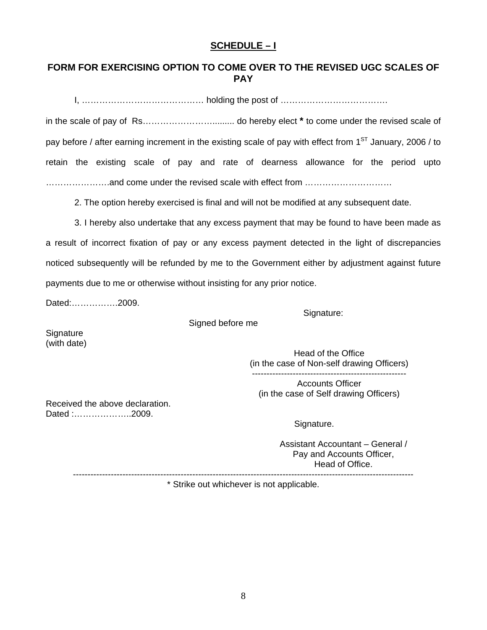# **SCHEDULE – I**

# **FORM FOR EXERCISING OPTION TO COME OVER TO THE REVISED UGC SCALES OF PAY**

I, …………………………………… holding the post of ……………………………….

in the scale of pay of Rs……………………......... do hereby elect **\*** to come under the revised scale of pay before / after earning increment in the existing scale of pay with effect from  $1<sup>ST</sup>$  January, 2006 / to retain the existing scale of pay and rate of dearness allowance for the period upto ………………….and come under the revised scale with effect from …………………………

2. The option hereby exercised is final and will not be modified at any subsequent date.

3. I hereby also undertake that any excess payment that may be found to have been made as a result of incorrect fixation of pay or any excess payment detected in the light of discrepancies noticed subsequently will be refunded by me to the Government either by adjustment against future payments due to me or otherwise without insisting for any prior notice.

Dated:…………….2009.

Signature:

Signed before me

**Signature** (with date)

Head of the Office (in the case of Non-self drawing Officers) -----------------------------------------------------

Accounts Officer (in the case of Self drawing Officers)

Received the above declaration. Dated :………………..2009.

Signature.

---------------------------------------------------------------------------------------------------------------------

Assistant Accountant – General / Pay and Accounts Officer, Head of Office.

\* Strike out whichever is not applicable.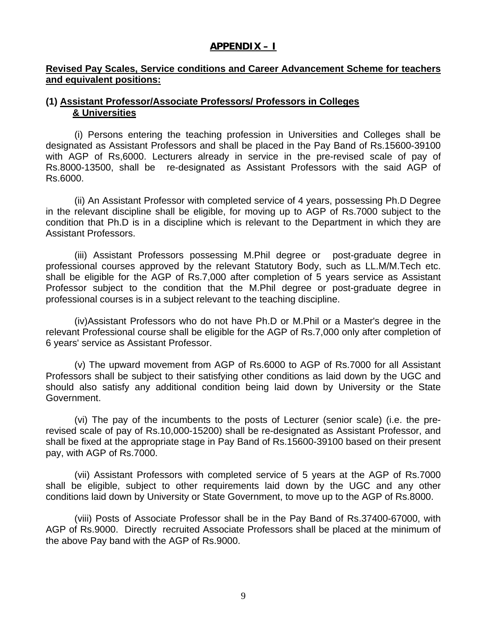# **APPENDIX – I**

# **Revised Pay Scales, Service conditions and Career Advancement Scheme for teachers and equivalent positions:**

# **(1) Assistant Professor/Associate Professors/ Professors in Colleges & Universities**

 (i) Persons entering the teaching profession in Universities and Colleges shall be designated as Assistant Professors and shall be placed in the Pay Band of Rs.15600-39100 with AGP of Rs,6000. Lecturers already in service in the pre-revised scale of pay of Rs.8000-13500, shall be re-designated as Assistant Professors with the said AGP of Rs.6000.

 (ii) An Assistant Professor with completed service of 4 years, possessing Ph.D Degree in the relevant discipline shall be eligible, for moving up to AGP of Rs.7000 subject to the condition that Ph.D is in a discipline which is relevant to the Department in which they are Assistant Professors.

 (iii) Assistant Professors possessing M.Phil degree or post-graduate degree in professional courses approved by the relevant Statutory Body, such as LL.M/M.Tech etc. shall be eligible for the AGP of Rs.7,000 after completion of 5 years service as Assistant Professor subject to the condition that the M.Phil degree or post-graduate degree in professional courses is in a subject relevant to the teaching discipline.

 (iv)Assistant Professors who do not have Ph.D or M.Phil or a Master's degree in the relevant Professional course shall be eligible for the AGP of Rs.7,000 only after completion of 6 years' service as Assistant Professor.

 (v) The upward movement from AGP of Rs.6000 to AGP of Rs.7000 for all Assistant Professors shall be subject to their satisfying other conditions as laid down by the UGC and should also satisfy any additional condition being laid down by University or the State Government.

 (vi) The pay of the incumbents to the posts of Lecturer (senior scale) (i.e. the prerevised scale of pay of Rs.10,000-15200) shall be re-designated as Assistant Professor, and shall be fixed at the appropriate stage in Pay Band of Rs.15600-39100 based on their present pay, with AGP of Rs.7000.

 (vii) Assistant Professors with completed service of 5 years at the AGP of Rs.7000 shall be eligible, subject to other requirements laid down by the UGC and any other conditions laid down by University or State Government, to move up to the AGP of Rs.8000.

 (viii) Posts of Associate Professor shall be in the Pay Band of Rs.37400-67000, with AGP of Rs.9000. Directly recruited Associate Professors shall be placed at the minimum of the above Pay band with the AGP of Rs.9000.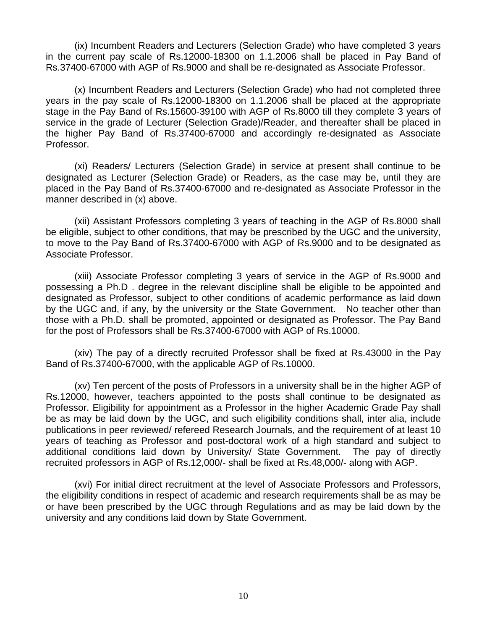(ix) Incumbent Readers and Lecturers (Selection Grade) who have completed 3 years in the current pay scale of Rs.12000-18300 on 1.1.2006 shall be placed in Pay Band of Rs.37400-67000 with AGP of Rs.9000 and shall be re-designated as Associate Professor.

 (x) Incumbent Readers and Lecturers (Selection Grade) who had not completed three years in the pay scale of Rs.12000-18300 on 1.1.2006 shall be placed at the appropriate stage in the Pay Band of Rs.15600-39100 with AGP of Rs.8000 till they complete 3 years of service in the grade of Lecturer (Selection Grade)/Reader, and thereafter shall be placed in the higher Pay Band of Rs.37400-67000 and accordingly re-designated as Associate Professor.

 (xi) Readers/ Lecturers (Selection Grade) in service at present shall continue to be designated as Lecturer (Selection Grade) or Readers, as the case may be, until they are placed in the Pay Band of Rs.37400-67000 and re-designated as Associate Professor in the manner described in (x) above.

 (xii) Assistant Professors completing 3 years of teaching in the AGP of Rs.8000 shall be eligible, subject to other conditions, that may be prescribed by the UGC and the university, to move to the Pay Band of Rs.37400-67000 with AGP of Rs.9000 and to be designated as Associate Professor.

 (xiii) Associate Professor completing 3 years of service in the AGP of Rs.9000 and possessing a Ph.D . degree in the relevant discipline shall be eligible to be appointed and designated as Professor, subject to other conditions of academic performance as laid down by the UGC and, if any, by the university or the State Government. No teacher other than those with a Ph.D. shall be promoted, appointed or designated as Professor. The Pay Band for the post of Professors shall be Rs.37400-67000 with AGP of Rs.10000.

 (xiv) The pay of a directly recruited Professor shall be fixed at Rs.43000 in the Pay Band of Rs.37400-67000, with the applicable AGP of Rs.10000.

 (xv) Ten percent of the posts of Professors in a university shall be in the higher AGP of Rs.12000, however, teachers appointed to the posts shall continue to be designated as Professor. Eligibility for appointment as a Professor in the higher Academic Grade Pay shall be as may be laid down by the UGC, and such eligibility conditions shall, inter alia, include publications in peer reviewed/ refereed Research Journals, and the requirement of at least 10 years of teaching as Professor and post-doctoral work of a high standard and subject to additional conditions laid down by University/ State Government. The pay of directly recruited professors in AGP of Rs.12,000/- shall be fixed at Rs.48,000/- along with AGP.

 (xvi) For initial direct recruitment at the level of Associate Professors and Professors, the eligibility conditions in respect of academic and research requirements shall be as may be or have been prescribed by the UGC through Regulations and as may be laid down by the university and any conditions laid down by State Government.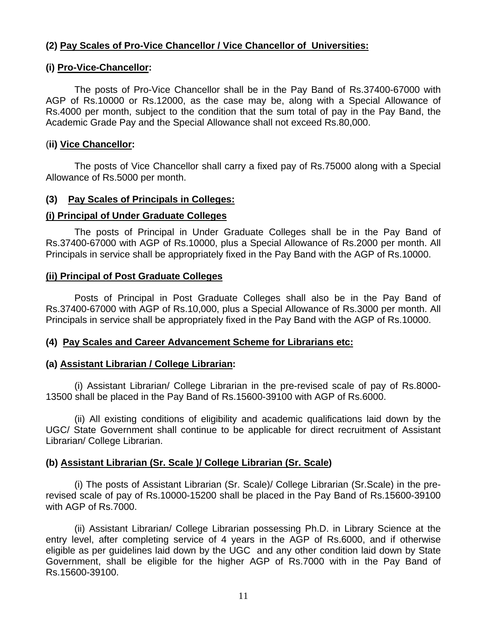# **(2) Pay Scales of Pro-Vice Chancellor / Vice Chancellor of Universities:**

### **(i) Pro-Vice-Chancellor:**

 The posts of Pro-Vice Chancellor shall be in the Pay Band of Rs.37400-67000 with AGP of Rs.10000 or Rs.12000, as the case may be, along with a Special Allowance of Rs.4000 per month, subject to the condition that the sum total of pay in the Pay Band, the Academic Grade Pay and the Special Allowance shall not exceed Rs.80,000.

### (**ii) Vice Chancellor:**

 The posts of Vice Chancellor shall carry a fixed pay of Rs.75000 along with a Special Allowance of Rs.5000 per month.

### **(3) Pay Scales of Principals in Colleges:**

### **(i) Principal of Under Graduate Colleges**

 The posts of Principal in Under Graduate Colleges shall be in the Pay Band of Rs.37400-67000 with AGP of Rs.10000, plus a Special Allowance of Rs.2000 per month. All Principals in service shall be appropriately fixed in the Pay Band with the AGP of Rs.10000.

### **(ii) Principal of Post Graduate Colleges**

 Posts of Principal in Post Graduate Colleges shall also be in the Pay Band of Rs.37400-67000 with AGP of Rs.10,000, plus a Special Allowance of Rs.3000 per month. All Principals in service shall be appropriately fixed in the Pay Band with the AGP of Rs.10000.

#### **(4) Pay Scales and Career Advancement Scheme for Librarians etc:**

#### **(a) Assistant Librarian / College Librarian:**

 (i) Assistant Librarian/ College Librarian in the pre-revised scale of pay of Rs.8000- 13500 shall be placed in the Pay Band of Rs.15600-39100 with AGP of Rs.6000.

 (ii) All existing conditions of eligibility and academic qualifications laid down by the UGC/ State Government shall continue to be applicable for direct recruitment of Assistant Librarian/ College Librarian.

# **(b) Assistant Librarian (Sr. Scale )/ College Librarian (Sr. Scale)**

 (i) The posts of Assistant Librarian (Sr. Scale)/ College Librarian (Sr.Scale) in the prerevised scale of pay of Rs.10000-15200 shall be placed in the Pay Band of Rs.15600-39100 with AGP of Rs.7000.

 (ii) Assistant Librarian/ College Librarian possessing Ph.D. in Library Science at the entry level, after completing service of 4 years in the AGP of Rs.6000, and if otherwise eligible as per guidelines laid down by the UGC and any other condition laid down by State Government, shall be eligible for the higher AGP of Rs.7000 with in the Pay Band of Rs.15600-39100.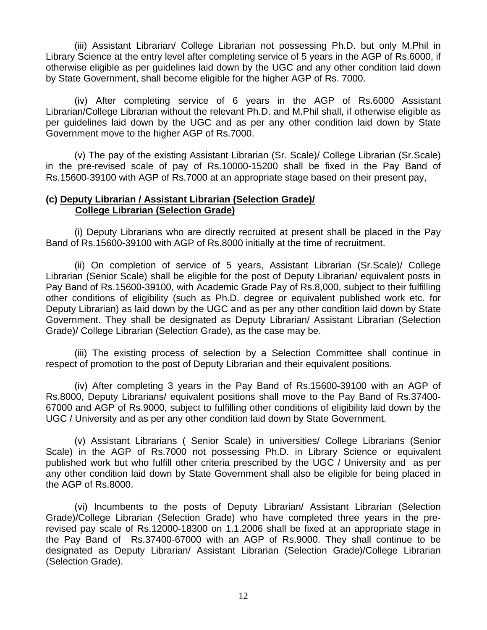(iii) Assistant Librarian/ College Librarian not possessing Ph.D. but only M.Phil in Library Science at the entry level after completing service of 5 years in the AGP of Rs.6000, if otherwise eligible as per guidelines laid down by the UGC and any other condition laid down by State Government, shall become eligible for the higher AGP of Rs. 7000.

 (iv) After completing service of 6 years in the AGP of Rs.6000 Assistant Librarian/College Librarian without the relevant Ph.D. and M.Phil shall, if otherwise eligible as per guidelines laid down by the UGC and as per any other condition laid down by State Government move to the higher AGP of Rs.7000.

 (v) The pay of the existing Assistant Librarian (Sr. Scale)/ College Librarian (Sr.Scale) in the pre-revised scale of pay of Rs.10000-15200 shall be fixed in the Pay Band of Rs.15600-39100 with AGP of Rs.7000 at an appropriate stage based on their present pay,

#### **(c) Deputy Librarian / Assistant Librarian (Selection Grade)/ College Librarian (Selection Grade)**

 (i) Deputy Librarians who are directly recruited at present shall be placed in the Pay Band of Rs.15600-39100 with AGP of Rs.8000 initially at the time of recruitment.

 (ii) On completion of service of 5 years, Assistant Librarian (Sr.Scale)/ College Librarian (Senior Scale) shall be eligible for the post of Deputy Librarian/ equivalent posts in Pay Band of Rs.15600-39100, with Academic Grade Pay of Rs.8,000, subject to their fulfilling other conditions of eligibility (such as Ph.D. degree or equivalent published work etc. for Deputy Librarian) as laid down by the UGC and as per any other condition laid down by State Government. They shall be designated as Deputy Librarian/ Assistant Librarian (Selection Grade)/ College Librarian (Selection Grade), as the case may be.

 (iii) The existing process of selection by a Selection Committee shall continue in respect of promotion to the post of Deputy Librarian and their equivalent positions.

 (iv) After completing 3 years in the Pay Band of Rs.15600-39100 with an AGP of Rs.8000, Deputy Librarians/ equivalent positions shall move to the Pay Band of Rs.37400- 67000 and AGP of Rs.9000, subject to fulfilling other conditions of eligibility laid down by the UGC / University and as per any other condition laid down by State Government.

 (v) Assistant Librarians ( Senior Scale) in universities/ College Librarians (Senior Scale) in the AGP of Rs.7000 not possessing Ph.D. in Library Science or equivalent published work but who fulfill other criteria prescribed by the UGC / University and as per any other condition laid down by State Government shall also be eligible for being placed in the AGP of Rs.8000.

 (vi) Incumbents to the posts of Deputy Librarian/ Assistant Librarian (Selection Grade)/College Librarian (Selection Grade) who have completed three years in the prerevised pay scale of Rs.12000-18300 on 1.1.2006 shall be fixed at an appropriate stage in the Pay Band of Rs.37400-67000 with an AGP of Rs.9000. They shall continue to be designated as Deputy Librarian/ Assistant Librarian (Selection Grade)/College Librarian (Selection Grade).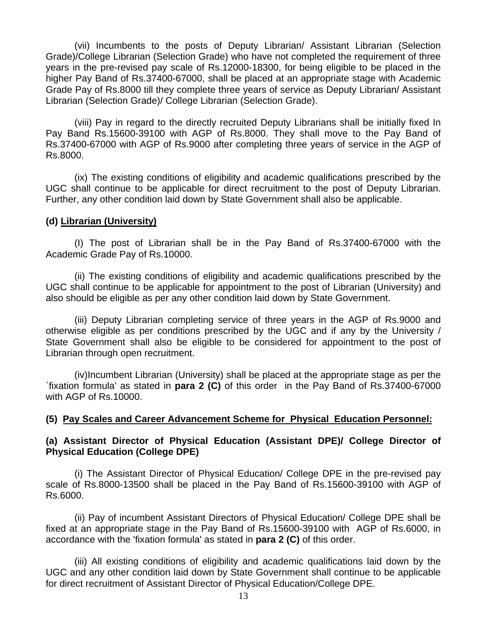(vii) Incumbents to the posts of Deputy Librarian/ Assistant Librarian (Selection Grade)/College Librarian (Selection Grade) who have not completed the requirement of three years in the pre-revised pay scale of Rs.12000-18300, for being eligible to be placed in the higher Pay Band of Rs.37400-67000, shall be placed at an appropriate stage with Academic Grade Pay of Rs.8000 till they complete three years of service as Deputy Librarian/ Assistant Librarian (Selection Grade)/ College Librarian (Selection Grade).

 (viii) Pay in regard to the directly recruited Deputy Librarians shall be initially fixed In Pay Band Rs.15600-39100 with AGP of Rs.8000. They shall move to the Pay Band of Rs.37400-67000 with AGP of Rs.9000 after completing three years of service in the AGP of Rs.8000.

 (ix) The existing conditions of eligibility and academic qualifications prescribed by the UGC shall continue to be applicable for direct recruitment to the post of Deputy Librarian. Further, any other condition laid down by State Government shall also be applicable.

# **(d) Librarian (University)**

 (I) The post of Librarian shall be in the Pay Band of Rs.37400-67000 with the Academic Grade Pay of Rs.10000.

 (ii) The existing conditions of eligibility and academic qualifications prescribed by the UGC shall continue to be applicable for appointment to the post of Librarian (University) and also should be eligible as per any other condition laid down by State Government.

 (iii) Deputy Librarian completing service of three years in the AGP of Rs.9000 and otherwise eligible as per conditions prescribed by the UGC and if any by the University / State Government shall also be eligible to be considered for appointment to the post of Librarian through open recruitment.

 (iv)Incumbent Librarian (University) shall be placed at the appropriate stage as per the `fixation formula' as stated in **para 2 (C)** of this order in the Pay Band of Rs.37400-67000 with AGP of Rs.10000.

# **(5) Pay Scales and Career Advancement Scheme for Physical Education Personnel:**

# **(a) Assistant Director of Physical Education (Assistant DPE)/ College Director of Physical Education (College DPE)**

 (i) The Assistant Director of Physical Education/ College DPE in the pre-revised pay scale of Rs.8000-13500 shall be placed in the Pay Band of Rs.15600-39100 with AGP of Rs.6000.

 (ii) Pay of incumbent Assistant Directors of Physical Education/ College DPE shall be fixed at an appropriate stage in the Pay Band of Rs.15600-39100 with AGP of Rs.6000, in accordance with the 'fixation formula' as stated in **para 2 (C)** of this order.

 (iii) All existing conditions of eligibility and academic qualifications laid down by the UGC and any other condition laid down by State Government shall continue to be applicable for direct recruitment of Assistant Director of Physical Education/College DPE.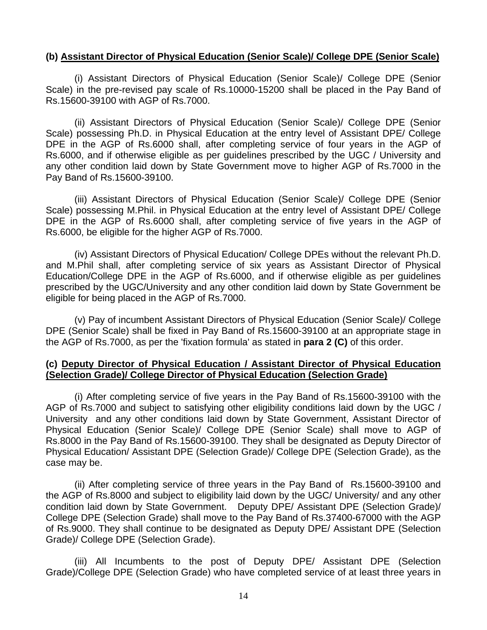### **(b) Assistant Director of Physical Education (Senior Scale)/ College DPE (Senior Scale)**

 (i) Assistant Directors of Physical Education (Senior Scale)/ College DPE (Senior Scale) in the pre-revised pay scale of Rs.10000-15200 shall be placed in the Pay Band of Rs.15600-39100 with AGP of Rs.7000.

 (ii) Assistant Directors of Physical Education (Senior Scale)/ College DPE (Senior Scale) possessing Ph.D. in Physical Education at the entry level of Assistant DPE/ College DPE in the AGP of Rs.6000 shall, after completing service of four years in the AGP of Rs.6000, and if otherwise eligible as per guidelines prescribed by the UGC / University and any other condition laid down by State Government move to higher AGP of Rs.7000 in the Pay Band of Rs.15600-39100.

 (iii) Assistant Directors of Physical Education (Senior Scale)/ College DPE (Senior Scale) possessing M.Phil. in Physical Education at the entry level of Assistant DPE/ College DPE in the AGP of Rs.6000 shall, after completing service of five years in the AGP of Rs.6000, be eligible for the higher AGP of Rs.7000.

 (iv) Assistant Directors of Physical Education/ College DPEs without the relevant Ph.D. and M.Phil shall, after completing service of six years as Assistant Director of Physical Education/College DPE in the AGP of Rs.6000, and if otherwise eligible as per guidelines prescribed by the UGC/University and any other condition laid down by State Government be eligible for being placed in the AGP of Rs.7000.

 (v) Pay of incumbent Assistant Directors of Physical Education (Senior Scale)/ College DPE (Senior Scale) shall be fixed in Pay Band of Rs.15600-39100 at an appropriate stage in the AGP of Rs.7000, as per the 'fixation formula' as stated in **para 2 (C)** of this order.

### **(c) Deputy Director of Physical Education / Assistant Director of Physical Education (Selection Grade)/ College Director of Physical Education (Selection Grade)**

 (i) After completing service of five years in the Pay Band of Rs.15600-39100 with the AGP of Rs.7000 and subject to satisfying other eligibility conditions laid down by the UGC / University and any other conditions laid down by State Government, Assistant Director of Physical Education (Senior Scale)/ College DPE (Senior Scale) shall move to AGP of Rs.8000 in the Pay Band of Rs.15600-39100. They shall be designated as Deputy Director of Physical Education/ Assistant DPE (Selection Grade)/ College DPE (Selection Grade), as the case may be.

 (ii) After completing service of three years in the Pay Band of Rs.15600-39100 and the AGP of Rs.8000 and subject to eligibility laid down by the UGC/ University/ and any other condition laid down by State Government. Deputy DPE/ Assistant DPE (Selection Grade)/ College DPE (Selection Grade) shall move to the Pay Band of Rs.37400-67000 with the AGP of Rs.9000. They shall continue to be designated as Deputy DPE/ Assistant DPE (Selection Grade)/ College DPE (Selection Grade).

 (iii) All Incumbents to the post of Deputy DPE/ Assistant DPE (Selection Grade)/College DPE (Selection Grade) who have completed service of at least three years in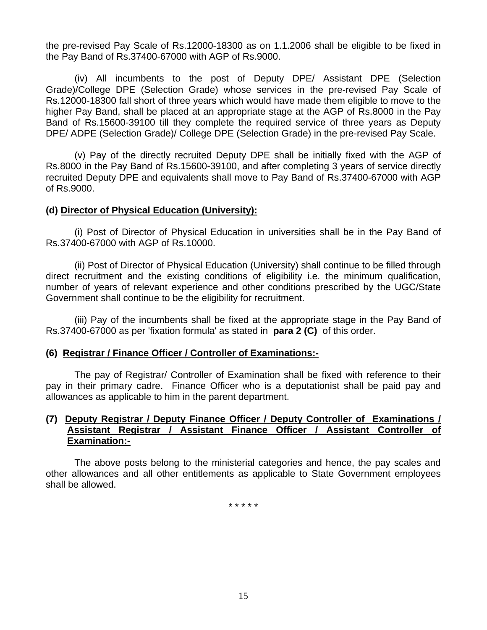the pre-revised Pay Scale of Rs.12000-18300 as on 1.1.2006 shall be eligible to be fixed in the Pay Band of Rs.37400-67000 with AGP of Rs.9000.

 (iv) All incumbents to the post of Deputy DPE/ Assistant DPE (Selection Grade)/College DPE (Selection Grade) whose services in the pre-revised Pay Scale of Rs.12000-18300 fall short of three years which would have made them eligible to move to the higher Pay Band, shall be placed at an appropriate stage at the AGP of Rs.8000 in the Pay Band of Rs.15600-39100 till they complete the required service of three years as Deputy DPE/ ADPE (Selection Grade)/ College DPE (Selection Grade) in the pre-revised Pay Scale.

 (v) Pay of the directly recruited Deputy DPE shall be initially fixed with the AGP of Rs.8000 in the Pay Band of Rs.15600-39100, and after completing 3 years of service directly recruited Deputy DPE and equivalents shall move to Pay Band of Rs.37400-67000 with AGP of Rs.9000.

#### **(d) Director of Physical Education (University):**

 (i) Post of Director of Physical Education in universities shall be in the Pay Band of Rs.37400-67000 with AGP of Rs.10000.

 (ii) Post of Director of Physical Education (University) shall continue to be filled through direct recruitment and the existing conditions of eligibility i.e. the minimum qualification, number of years of relevant experience and other conditions prescribed by the UGC/State Government shall continue to be the eligibility for recruitment.

 (iii) Pay of the incumbents shall be fixed at the appropriate stage in the Pay Band of Rs.37400-67000 as per 'fixation formula' as stated in **para 2 (C)** of this order.

# **(6) Registrar / Finance Officer / Controller of Examinations:-**

 The pay of Registrar/ Controller of Examination shall be fixed with reference to their pay in their primary cadre. Finance Officer who is a deputationist shall be paid pay and allowances as applicable to him in the parent department.

#### **(7) Deputy Registrar / Deputy Finance Officer / Deputy Controller of Examinations / Assistant Registrar / Assistant Finance Officer / Assistant Controller of Examination:-**

The above posts belong to the ministerial categories and hence, the pay scales and other allowances and all other entitlements as applicable to State Government employees shall be allowed.

\* \* \* \* \*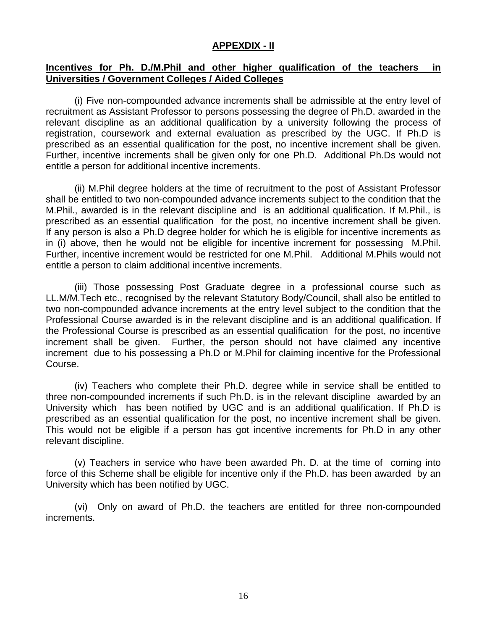# **APPEXDIX - II**

# **Incentives for Ph. D./M.Phil and other higher qualification of the teachers in Universities / Government Colleges / Aided Colleges**

 (i) Five non-compounded advance increments shall be admissible at the entry level of recruitment as Assistant Professor to persons possessing the degree of Ph.D. awarded in the relevant discipline as an additional qualification by a university following the process of registration, coursework and external evaluation as prescribed by the UGC. If Ph.D is prescribed as an essential qualification for the post, no incentive increment shall be given. Further, incentive increments shall be given only for one Ph.D. Additional Ph.Ds would not entitle a person for additional incentive increments.

 (ii) M.Phil degree holders at the time of recruitment to the post of Assistant Professor shall be entitled to two non-compounded advance increments subject to the condition that the M.Phil., awarded is in the relevant discipline and is an additional qualification. If M.Phil., is prescribed as an essential qualification for the post, no incentive increment shall be given. If any person is also a Ph.D degree holder for which he is eligible for incentive increments as in (i) above, then he would not be eligible for incentive increment for possessing M.Phil. Further, incentive increment would be restricted for one M.Phil. Additional M.Phils would not entitle a person to claim additional incentive increments.

 (iii) Those possessing Post Graduate degree in a professional course such as LL.M/M.Tech etc., recognised by the relevant Statutory Body/Council, shall also be entitled to two non-compounded advance increments at the entry level subject to the condition that the Professional Course awarded is in the relevant discipline and is an additional qualification. If the Professional Course is prescribed as an essential qualification for the post, no incentive increment shall be given. Further, the person should not have claimed any incentive increment due to his possessing a Ph.D or M.Phil for claiming incentive for the Professional Course.

 (iv) Teachers who complete their Ph.D. degree while in service shall be entitled to three non-compounded increments if such Ph.D. is in the relevant discipline awarded by an University which has been notified by UGC and is an additional qualification. If Ph.D is prescribed as an essential qualification for the post, no incentive increment shall be given. This would not be eligible if a person has got incentive increments for Ph.D in any other relevant discipline.

 (v) Teachers in service who have been awarded Ph. D. at the time of coming into force of this Scheme shall be eligible for incentive only if the Ph.D. has been awarded by an University which has been notified by UGC.

 (vi) Only on award of Ph.D. the teachers are entitled for three non-compounded increments.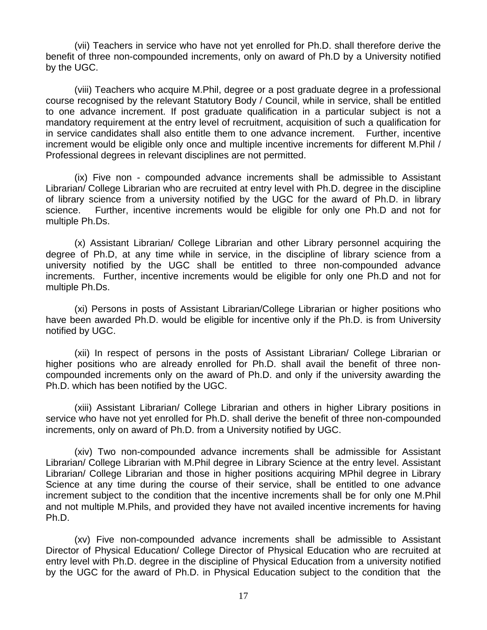(vii) Teachers in service who have not yet enrolled for Ph.D. shall therefore derive the benefit of three non-compounded increments, only on award of Ph.D by a University notified by the UGC.

 (viii) Teachers who acquire M.Phil, degree or a post graduate degree in a professional course recognised by the relevant Statutory Body / Council, while in service, shall be entitled to one advance increment. If post graduate qualification in a particular subject is not a mandatory requirement at the entry level of recruitment, acquisition of such a qualification for in service candidates shall also entitle them to one advance increment. Further, incentive increment would be eligible only once and multiple incentive increments for different M.Phil / Professional degrees in relevant disciplines are not permitted.

 (ix) Five non - compounded advance increments shall be admissible to Assistant Librarian/ College Librarian who are recruited at entry level with Ph.D. degree in the discipline of library science from a university notified by the UGC for the award of Ph.D. in library science. Further, incentive increments would be eligible for only one Ph.D and not for multiple Ph.Ds.

 (x) Assistant Librarian/ College Librarian and other Library personnel acquiring the degree of Ph.D, at any time while in service, in the discipline of library science from a university notified by the UGC shall be entitled to three non-compounded advance increments. Further, incentive increments would be eligible for only one Ph.D and not for multiple Ph.Ds.

 (xi) Persons in posts of Assistant Librarian/College Librarian or higher positions who have been awarded Ph.D. would be eligible for incentive only if the Ph.D. is from University notified by UGC.

 (xii) In respect of persons in the posts of Assistant Librarian/ College Librarian or higher positions who are already enrolled for Ph.D. shall avail the benefit of three noncompounded increments only on the award of Ph.D. and only if the university awarding the Ph.D. which has been notified by the UGC.

 (xiii) Assistant Librarian/ College Librarian and others in higher Library positions in service who have not yet enrolled for Ph.D. shall derive the benefit of three non-compounded increments, only on award of Ph.D. from a University notified by UGC.

 (xiv) Two non-compounded advance increments shall be admissible for Assistant Librarian/ College Librarian with M.Phil degree in Library Science at the entry level. Assistant Librarian/ College Librarian and those in higher positions acquiring MPhil degree in Library Science at any time during the course of their service, shall be entitled to one advance increment subject to the condition that the incentive increments shall be for only one M.Phil and not multiple M.Phils, and provided they have not availed incentive increments for having Ph.D.

(xv) Five non-compounded advance increments shall be admissible to Assistant Director of Physical Education/ College Director of Physical Education who are recruited at entry level with Ph.D. degree in the discipline of Physical Education from a university notified by the UGC for the award of Ph.D. in Physical Education subject to the condition that the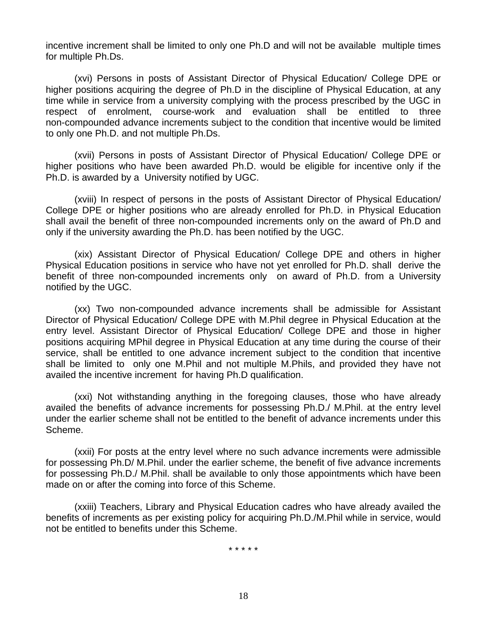incentive increment shall be limited to only one Ph.D and will not be available multiple times for multiple Ph.Ds.

 (xvi) Persons in posts of Assistant Director of Physical Education/ College DPE or higher positions acquiring the degree of Ph.D in the discipline of Physical Education, at any time while in service from a university complying with the process prescribed by the UGC in respect of enrolment, course-work and evaluation shall be entitled to three non-compounded advance increments subject to the condition that incentive would be limited to only one Ph.D. and not multiple Ph.Ds.

 (xvii) Persons in posts of Assistant Director of Physical Education/ College DPE or higher positions who have been awarded Ph.D. would be eligible for incentive only if the Ph.D. is awarded by a University notified by UGC.

 (xviii) In respect of persons in the posts of Assistant Director of Physical Education/ College DPE or higher positions who are already enrolled for Ph.D. in Physical Education shall avail the benefit of three non-compounded increments only on the award of Ph.D and only if the university awarding the Ph.D. has been notified by the UGC.

 (xix) Assistant Director of Physical Education/ College DPE and others in higher Physical Education positions in service who have not yet enrolled for Ph.D. shall derive the benefit of three non-compounded increments only on award of Ph.D. from a University notified by the UGC.

 (xx) Two non-compounded advance increments shall be admissible for Assistant Director of Physical Education/ College DPE with M.Phil degree in Physical Education at the entry level. Assistant Director of Physical Education/ College DPE and those in higher positions acquiring MPhil degree in Physical Education at any time during the course of their service, shall be entitled to one advance increment subject to the condition that incentive shall be limited to only one M.Phil and not multiple M.Phils, and provided they have not availed the incentive increment for having Ph.D qualification.

 (xxi) Not withstanding anything in the foregoing clauses, those who have already availed the benefits of advance increments for possessing Ph.D./ M.Phil. at the entry level under the earlier scheme shall not be entitled to the benefit of advance increments under this Scheme.

 (xxii) For posts at the entry level where no such advance increments were admissible for possessing Ph.D/ M.Phil. under the earlier scheme, the benefit of five advance increments for possessing Ph.D./ M.Phil. shall be available to only those appointments which have been made on or after the coming into force of this Scheme.

(xxiii) Teachers, Library and Physical Education cadres who have already availed the benefits of increments as per existing policy for acquiring Ph.D./M.Phil while in service, would not be entitled to benefits under this Scheme.

\* \* \* \* \*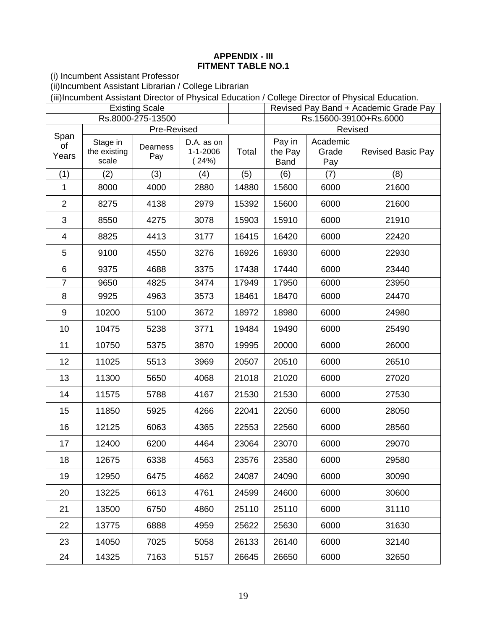### **APPENDIX - III FITMENT TABLE NO.1**

(i) Incumbent Assistant Professor

(ii)Incumbent Assistant Librarian / College Librarian

(iii)Incumbent Assistant Director of Physical Education / College Director of Physical Education.

|                     | <b>Existing Scale</b>             |                                |                                       |       | Revised Pay Band + Academic Grade Pay |                                     |                          |  |
|---------------------|-----------------------------------|--------------------------------|---------------------------------------|-------|---------------------------------------|-------------------------------------|--------------------------|--|
|                     |                                   | Rs.8000-275-13500              |                                       |       |                                       |                                     | Rs.15600-39100+Rs.6000   |  |
| Span<br>of<br>Years | Stage in<br>the existing<br>scale | Pre-Revised<br>Dearness<br>Pay | D.A. as on<br>$1 - 1 - 2006$<br>(24%) | Total | Pay in<br>the Pay<br><b>Band</b>      | Revised<br>Academic<br>Grade<br>Pay | <b>Revised Basic Pay</b> |  |
| (1)                 | (2)                               | (3)                            | (4)                                   | (5)   | (6)                                   | (7)                                 | (8)                      |  |
| $\mathbf{1}$        | 8000                              | 4000                           | 2880                                  | 14880 | 15600                                 | 6000                                | 21600                    |  |
| $\overline{2}$      | 8275                              | 4138                           | 2979                                  | 15392 | 15600                                 | 6000                                | 21600                    |  |
| 3                   | 8550                              | 4275                           | 3078                                  | 15903 | 15910                                 | 6000                                | 21910                    |  |
| 4                   | 8825                              | 4413                           | 3177                                  | 16415 | 16420                                 | 6000                                | 22420                    |  |
| 5                   | 9100                              | 4550                           | 3276                                  | 16926 | 16930                                 | 6000                                | 22930                    |  |
| 6                   | 9375                              | 4688                           | 3375                                  | 17438 | 17440                                 | 6000                                | 23440                    |  |
| $\overline{7}$      | 9650                              | 4825                           | 3474                                  | 17949 | 17950                                 | 6000                                | 23950                    |  |
| 8                   | 9925                              | 4963                           | 3573                                  | 18461 | 18470                                 | 6000                                | 24470                    |  |
| 9                   | 10200                             | 5100                           | 3672                                  | 18972 | 18980                                 | 6000                                | 24980                    |  |
| 10                  | 10475                             | 5238                           | 3771                                  | 19484 | 19490                                 | 6000                                | 25490                    |  |
| 11                  | 10750                             | 5375                           | 3870                                  | 19995 | 20000                                 | 6000                                | 26000                    |  |
| 12                  | 11025                             | 5513                           | 3969                                  | 20507 | 20510                                 | 6000                                | 26510                    |  |
| 13                  | 11300                             | 5650                           | 4068                                  | 21018 | 21020                                 | 6000                                | 27020                    |  |
| 14                  | 11575                             | 5788                           | 4167                                  | 21530 | 21530                                 | 6000                                | 27530                    |  |
| 15                  | 11850                             | 5925                           | 4266                                  | 22041 | 22050                                 | 6000                                | 28050                    |  |
| 16                  | 12125                             | 6063                           | 4365                                  | 22553 | 22560                                 | 6000                                | 28560                    |  |
| 17                  | 12400                             | 6200                           | 4464                                  | 23064 | 23070                                 | 6000                                | 29070                    |  |
| 18                  | 12675                             | 6338                           | 4563                                  | 23576 | 23580                                 | 6000                                | 29580                    |  |
| 19                  | 12950                             | 6475                           | 4662                                  | 24087 | 24090                                 | 6000                                | 30090                    |  |
| 20                  | 13225                             | 6613                           | 4761                                  | 24599 | 24600                                 | 6000                                | 30600                    |  |
| 21                  | 13500                             | 6750                           | 4860                                  | 25110 | 25110                                 | 6000                                | 31110                    |  |
| 22                  | 13775                             | 6888                           | 4959                                  | 25622 | 25630                                 | 6000                                | 31630                    |  |
| 23                  | 14050                             | 7025                           | 5058                                  | 26133 | 26140                                 | 6000                                | 32140                    |  |
| 24                  | 14325                             | 7163                           | 5157                                  | 26645 | 26650                                 | 6000                                | 32650                    |  |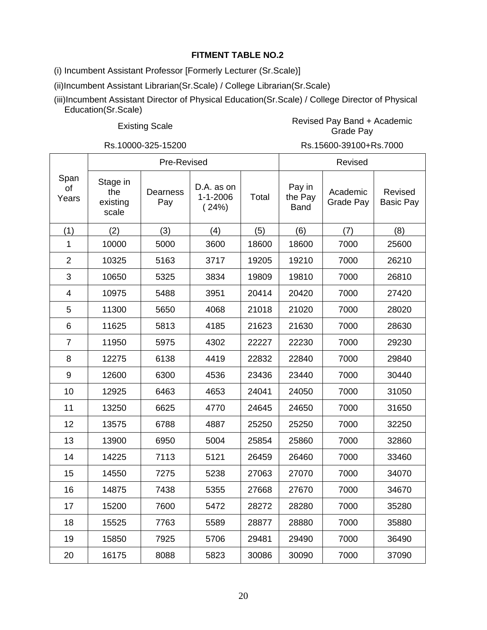(i) Incumbent Assistant Professor [Formerly Lecturer (Sr.Scale)]

(ii)Incumbent Assistant Librarian(Sr.Scale) / College Librarian(Sr.Scale)

(iii)Incumbent Assistant Director of Physical Education(Sr.Scale) / College Director of Physical Education(Sr.Scale)

Existing Scale **Revised Pay Band + Academic**<br>Crede Pay Grade Pay

Rs.10000-325-15200 Rs.15600-39100+Rs.7000

|                     |                                      | Pre-Revised     |                                       |       |                                  | Revised               |                             |
|---------------------|--------------------------------------|-----------------|---------------------------------------|-------|----------------------------------|-----------------------|-----------------------------|
| Span<br>of<br>Years | Stage in<br>the<br>existing<br>scale | Dearness<br>Pay | D.A. as on<br>$1 - 1 - 2006$<br>(24%) | Total | Pay in<br>the Pay<br><b>Band</b> | Academic<br>Grade Pay | Revised<br><b>Basic Pay</b> |
| (1)                 | (2)                                  | (3)             | (4)                                   | (5)   | (6)                              | (7)                   | (8)                         |
| 1                   | 10000                                | 5000            | 3600                                  | 18600 | 18600                            | 7000                  | 25600                       |
| $\overline{2}$      | 10325                                | 5163            | 3717                                  | 19205 | 19210                            | 7000                  | 26210                       |
| 3                   | 10650                                | 5325            | 3834                                  | 19809 | 19810                            | 7000                  | 26810                       |
| 4                   | 10975                                | 5488            | 3951                                  | 20414 | 20420                            | 7000                  | 27420                       |
| 5                   | 11300                                | 5650            | 4068                                  | 21018 | 21020                            | 7000                  | 28020                       |
| 6                   | 11625                                | 5813            | 4185                                  | 21623 | 21630                            | 7000                  | 28630                       |
| $\overline{7}$      | 11950                                | 5975            | 4302                                  | 22227 | 22230                            | 7000                  | 29230                       |
| 8                   | 12275                                | 6138            | 4419                                  | 22832 | 22840                            | 7000                  | 29840                       |
| 9                   | 12600                                | 6300            | 4536                                  | 23436 | 23440                            | 7000                  | 30440                       |
| 10                  | 12925                                | 6463            | 4653                                  | 24041 | 24050                            | 7000                  | 31050                       |
| 11                  | 13250                                | 6625            | 4770                                  | 24645 | 24650                            | 7000                  | 31650                       |
| 12                  | 13575                                | 6788            | 4887                                  | 25250 | 25250                            | 7000                  | 32250                       |
| 13                  | 13900                                | 6950            | 5004                                  | 25854 | 25860                            | 7000                  | 32860                       |
| 14                  | 14225                                | 7113            | 5121                                  | 26459 | 26460                            | 7000                  | 33460                       |
| 15                  | 14550                                | 7275            | 5238                                  | 27063 | 27070                            | 7000                  | 34070                       |
| 16                  | 14875                                | 7438            | 5355                                  | 27668 | 27670                            | 7000                  | 34670                       |
| 17                  | 15200                                | 7600            | 5472                                  | 28272 | 28280                            | 7000                  | 35280                       |
| 18                  | 15525                                | 7763            | 5589                                  | 28877 | 28880                            | 7000                  | 35880                       |
| 19                  | 15850                                | 7925            | 5706                                  | 29481 | 29490                            | 7000                  | 36490                       |
| 20                  | 16175                                | 8088            | 5823                                  | 30086 | 30090                            | 7000                  | 37090                       |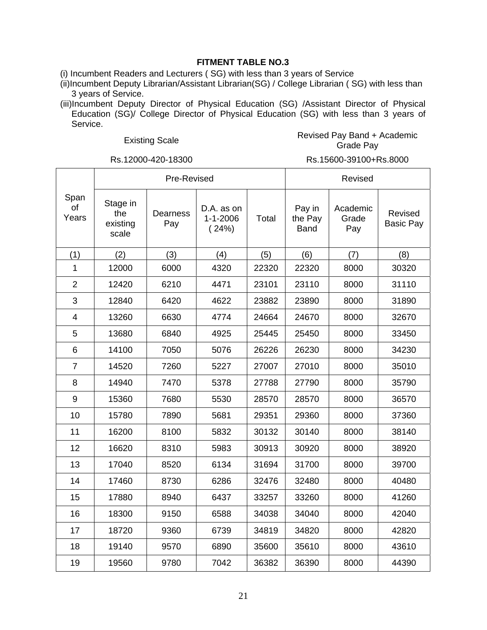(i) Incumbent Readers and Lecturers ( SG) with less than 3 years of Service

(ii)Incumbent Deputy Librarian/Assistant Librarian(SG) / College Librarian ( SG) with less than 3 years of Service.

(iii)Incumbent Deputy Director of Physical Education (SG) /Assistant Director of Physical Education (SG)/ College Director of Physical Education (SG) with less than 3 years of Service.

#### Existing Scale **Revised Pay Band + Academic**<br>Crede Pay Grade Pay

Rs.12000-420-18300 Rs.15600-39100+Rs.8000

|                     |                                      | Pre-Revised            |                                       |       | Revised                          |                          |                             |
|---------------------|--------------------------------------|------------------------|---------------------------------------|-------|----------------------------------|--------------------------|-----------------------------|
| Span<br>of<br>Years | Stage in<br>the<br>existing<br>scale | <b>Dearness</b><br>Pay | D.A. as on<br>$1 - 1 - 2006$<br>(24%) | Total | Pay in<br>the Pay<br><b>Band</b> | Academic<br>Grade<br>Pay | Revised<br><b>Basic Pay</b> |
| (1)                 | (2)                                  | (3)                    | (4)                                   | (5)   | (6)                              | (7)                      | (8)                         |
| 1                   | 12000                                | 6000                   | 4320                                  | 22320 | 22320                            | 8000                     | 30320                       |
| $\overline{2}$      | 12420                                | 6210                   | 4471                                  | 23101 | 23110                            | 8000                     | 31110                       |
| 3                   | 12840                                | 6420                   | 4622                                  | 23882 | 23890                            | 8000                     | 31890                       |
| $\overline{4}$      | 13260                                | 6630                   | 4774                                  | 24664 | 24670                            | 8000                     | 32670                       |
| 5                   | 13680                                | 6840                   | 4925                                  | 25445 | 25450                            | 8000                     | 33450                       |
| 6                   | 14100                                | 7050                   | 5076                                  | 26226 | 26230                            | 8000                     | 34230                       |
| $\overline{7}$      | 14520                                | 7260                   | 5227                                  | 27007 | 27010                            | 8000                     | 35010                       |
| 8                   | 14940                                | 7470                   | 5378                                  | 27788 | 27790                            | 8000                     | 35790                       |
| 9                   | 15360                                | 7680                   | 5530                                  | 28570 | 28570                            | 8000                     | 36570                       |
| 10                  | 15780                                | 7890                   | 5681                                  | 29351 | 29360                            | 8000                     | 37360                       |
| 11                  | 16200                                | 8100                   | 5832                                  | 30132 | 30140                            | 8000                     | 38140                       |
| 12                  | 16620                                | 8310                   | 5983                                  | 30913 | 30920                            | 8000                     | 38920                       |
| 13                  | 17040                                | 8520                   | 6134                                  | 31694 | 31700                            | 8000                     | 39700                       |
| 14                  | 17460                                | 8730                   | 6286                                  | 32476 | 32480                            | 8000                     | 40480                       |
| 15                  | 17880                                | 8940                   | 6437                                  | 33257 | 33260                            | 8000                     | 41260                       |
| 16                  | 18300                                | 9150                   | 6588                                  | 34038 | 34040                            | 8000                     | 42040                       |
| 17                  | 18720                                | 9360                   | 6739                                  | 34819 | 34820                            | 8000                     | 42820                       |
| 18                  | 19140                                | 9570                   | 6890                                  | 35600 | 35610                            | 8000                     | 43610                       |
| 19                  | 19560                                | 9780                   | 7042                                  | 36382 | 36390                            | 8000                     | 44390                       |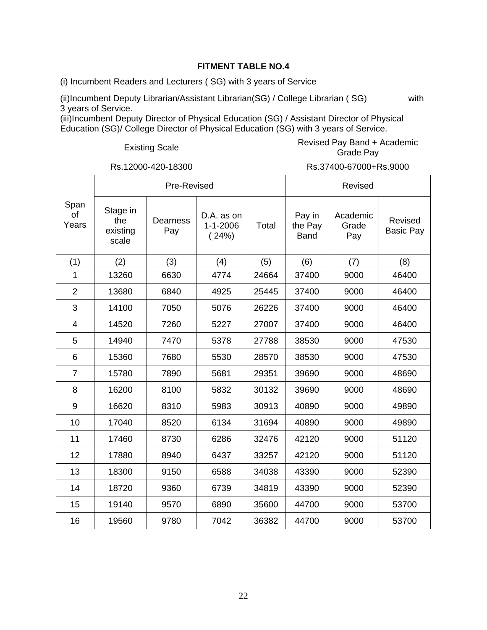(i) Incumbent Readers and Lecturers ( SG) with 3 years of Service

(ii)Incumbent Deputy Librarian/Assistant Librarian(SG) / College Librarian ( SG) with 3 years of Service.

(iii)Incumbent Deputy Director of Physical Education (SG) / Assistant Director of Physical Education (SG)/ College Director of Physical Education (SG) with 3 years of Service.

#### Existing Scale **Revised Pay Band + Academic**<br>Crack Revised Pay Bay Grade Pay

|                     |                                      | Pre-Revised     |                                       |       |                                  | Revised                  |                             |
|---------------------|--------------------------------------|-----------------|---------------------------------------|-------|----------------------------------|--------------------------|-----------------------------|
| Span<br>of<br>Years | Stage in<br>the<br>existing<br>scale | Dearness<br>Pay | D.A. as on<br>$1 - 1 - 2006$<br>(24%) | Total | Pay in<br>the Pay<br><b>Band</b> | Academic<br>Grade<br>Pay | Revised<br><b>Basic Pay</b> |
| (1)                 | (2)                                  | (3)             | (4)                                   | (5)   | (6)                              | (7)                      | (8)                         |
| 1                   | 13260                                | 6630            | 4774                                  | 24664 | 37400                            | 9000                     | 46400                       |
| $\overline{2}$      | 13680                                | 6840            | 4925                                  | 25445 | 37400                            | 9000                     | 46400                       |
| 3                   | 14100                                | 7050            | 5076                                  | 26226 | 37400                            | 9000                     | 46400                       |
| 4                   | 14520                                | 7260            | 5227                                  | 27007 | 37400                            | 9000                     | 46400                       |
| 5                   | 14940                                | 7470            | 5378                                  | 27788 | 38530                            | 9000                     | 47530                       |
| 6                   | 15360                                | 7680            | 5530                                  | 28570 | 38530                            | 9000                     | 47530                       |
| $\overline{7}$      | 15780                                | 7890            | 5681                                  | 29351 | 39690                            | 9000                     | 48690                       |
| 8                   | 16200                                | 8100            | 5832                                  | 30132 | 39690                            | 9000                     | 48690                       |
| 9                   | 16620                                | 8310            | 5983                                  | 30913 | 40890                            | 9000                     | 49890                       |
| 10                  | 17040                                | 8520            | 6134                                  | 31694 | 40890                            | 9000                     | 49890                       |
| 11                  | 17460                                | 8730            | 6286                                  | 32476 | 42120                            | 9000                     | 51120                       |
| 12                  | 17880                                | 8940            | 6437                                  | 33257 | 42120                            | 9000                     | 51120                       |
| 13                  | 18300                                | 9150            | 6588                                  | 34038 | 43390                            | 9000                     | 52390                       |
| 14                  | 18720                                | 9360            | 6739                                  | 34819 | 43390                            | 9000                     | 52390                       |
| 15                  | 19140                                | 9570            | 6890                                  | 35600 | 44700                            | 9000                     | 53700                       |
| 16                  | 19560                                | 9780            | 7042                                  | 36382 | 44700                            | 9000                     | 53700                       |

Rs.12000-420-18300 Rs.37400-67000+Rs.9000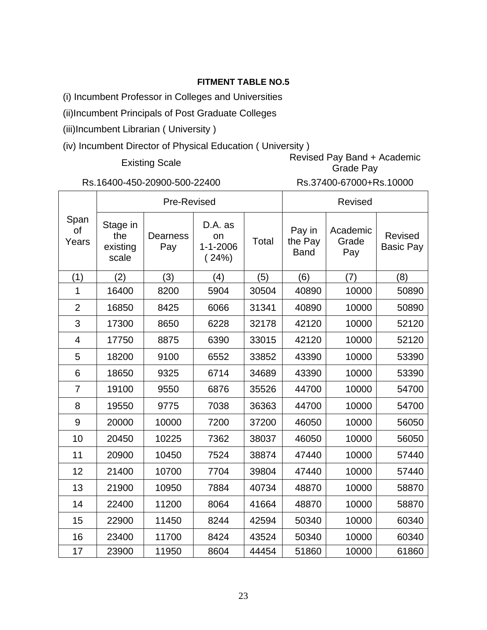(i) Incumbent Professor in Colleges and Universities

(ii)Incumbent Principals of Post Graduate Colleges

(iii)Incumbent Librarian ( University )

(iv) Incumbent Director of Physical Education ( University )

# Existing Scale Revised Pay Band + Academic Grade Pay

# Rs.16400-450-20900-500-22400 Rs.37400-67000+Rs.10000

|                            |                                      | Pre-Revised     |                                          |       | <b>Revised</b>                   |                          |                             |  |
|----------------------------|--------------------------------------|-----------------|------------------------------------------|-------|----------------------------------|--------------------------|-----------------------------|--|
| Span<br><b>of</b><br>Years | Stage in<br>the<br>existing<br>scale | Dearness<br>Pay | D.A. as<br>on<br>$1 - 1 - 2006$<br>(24%) | Total | Pay in<br>the Pay<br><b>Band</b> | Academic<br>Grade<br>Pay | Revised<br><b>Basic Pay</b> |  |
| (1)                        | (2)                                  | (3)             | (4)                                      | (5)   | (6)                              | (7)                      | (8)                         |  |
| 1                          | 16400                                | 8200            | 5904                                     | 30504 | 40890                            | 10000                    | 50890                       |  |
| $\overline{2}$             | 16850                                | 8425            | 6066                                     | 31341 | 40890                            | 10000                    | 50890                       |  |
| 3                          | 17300                                | 8650            | 6228                                     | 32178 | 42120                            | 10000                    | 52120                       |  |
| $\overline{4}$             | 17750                                | 8875            | 6390                                     | 33015 | 42120                            | 10000                    | 52120                       |  |
| 5                          | 18200                                | 9100            | 6552                                     | 33852 | 43390                            | 10000                    | 53390                       |  |
| 6                          | 18650                                | 9325            | 6714                                     | 34689 | 43390                            | 10000                    | 53390                       |  |
| $\overline{7}$             | 19100                                | 9550            | 6876                                     | 35526 | 44700                            | 10000                    | 54700                       |  |
| 8                          | 19550                                | 9775            | 7038                                     | 36363 | 44700                            | 10000                    | 54700                       |  |
| 9                          | 20000                                | 10000           | 7200                                     | 37200 | 46050                            | 10000                    | 56050                       |  |
| 10                         | 20450                                | 10225           | 7362                                     | 38037 | 46050                            | 10000                    | 56050                       |  |
| 11                         | 20900                                | 10450           | 7524                                     | 38874 | 47440                            | 10000                    | 57440                       |  |
| 12                         | 21400                                | 10700           | 7704                                     | 39804 | 47440                            | 10000                    | 57440                       |  |
| 13                         | 21900                                | 10950           | 7884                                     | 40734 | 48870                            | 10000                    | 58870                       |  |
| 14                         | 22400                                | 11200           | 8064                                     | 41664 | 48870                            | 10000                    | 58870                       |  |
| 15                         | 22900                                | 11450           | 8244                                     | 42594 | 50340                            | 10000                    | 60340                       |  |
| 16                         | 23400                                | 11700           | 8424                                     | 43524 | 50340                            | 10000                    | 60340                       |  |
| 17                         | 23900                                | 11950           | 8604                                     | 44454 | 51860                            | 10000                    | 61860                       |  |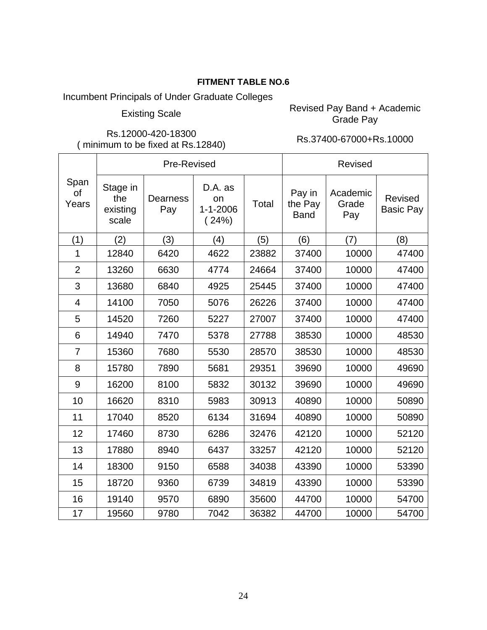Incumbent Principals of Under Graduate Colleges

Existing Scale Revised Pay Band + Academic<br>Crade Pay Grade Pay

Rs.12000-420-18300 ( minimum to be fixed at Rs.12840) Rs.37400-67000+Rs.10000

|                            |                                      | Pre-Revised            |                                          |       | <b>Revised</b>                   |                          |                             |  |
|----------------------------|--------------------------------------|------------------------|------------------------------------------|-------|----------------------------------|--------------------------|-----------------------------|--|
| Span<br><b>of</b><br>Years | Stage in<br>the<br>existing<br>scale | <b>Dearness</b><br>Pay | D.A. as<br>on<br>$1 - 1 - 2006$<br>(24%) | Total | Pay in<br>the Pay<br><b>Band</b> | Academic<br>Grade<br>Pay | Revised<br><b>Basic Pay</b> |  |
| (1)                        | (2)                                  | (3)                    | (4)                                      | (5)   | (6)                              | (7)                      | (8)                         |  |
| 1                          | 12840                                | 6420                   | 4622                                     | 23882 | 37400                            | 10000                    | 47400                       |  |
| $\overline{2}$             | 13260                                | 6630                   | 4774                                     | 24664 | 37400                            | 10000                    | 47400                       |  |
| 3                          | 13680                                | 6840                   | 4925                                     | 25445 | 37400                            | 10000                    | 47400                       |  |
| 4                          | 14100                                | 7050                   | 5076                                     | 26226 | 37400                            | 10000                    | 47400                       |  |
| 5                          | 14520                                | 7260                   | 5227                                     | 27007 | 37400                            | 10000                    | 47400                       |  |
| 6                          | 14940                                | 7470                   | 5378                                     | 27788 | 38530                            | 10000                    | 48530                       |  |
| $\overline{7}$             | 15360                                | 7680                   | 5530                                     | 28570 | 38530                            | 10000                    | 48530                       |  |
| 8                          | 15780                                | 7890                   | 5681                                     | 29351 | 39690                            | 10000                    | 49690                       |  |
| 9                          | 16200                                | 8100                   | 5832                                     | 30132 | 39690                            | 10000                    | 49690                       |  |
| 10                         | 16620                                | 8310                   | 5983                                     | 30913 | 40890                            | 10000                    | 50890                       |  |
| 11                         | 17040                                | 8520                   | 6134                                     | 31694 | 40890                            | 10000                    | 50890                       |  |
| 12                         | 17460                                | 8730                   | 6286                                     | 32476 | 42120                            | 10000                    | 52120                       |  |
| 13                         | 17880                                | 8940                   | 6437                                     | 33257 | 42120                            | 10000                    | 52120                       |  |
| 14                         | 18300                                | 9150                   | 6588                                     | 34038 | 43390                            | 10000                    | 53390                       |  |
| 15                         | 18720                                | 9360                   | 6739                                     | 34819 | 43390                            | 10000                    | 53390                       |  |
| 16                         | 19140                                | 9570                   | 6890                                     | 35600 | 44700                            | 10000                    | 54700                       |  |
| 17                         | 19560                                | 9780                   | 7042                                     | 36382 | 44700                            | 10000                    | 54700                       |  |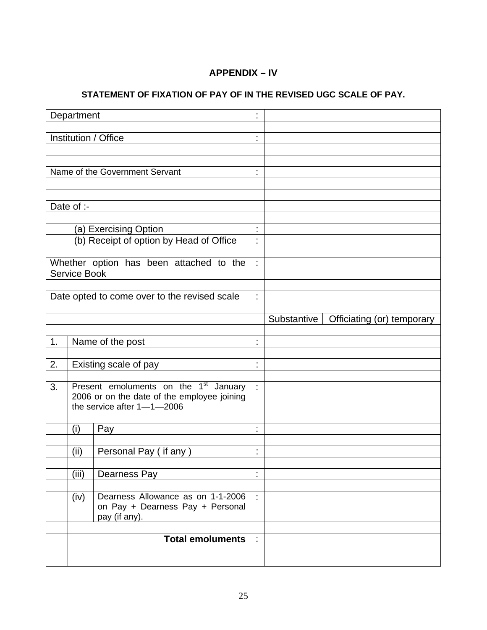# **APPENDIX – IV**

# **STATEMENT OF FIXATION OF PAY OF IN THE REVISED UGC SCALE OF PAY.**

|    | Department   |                                                                                                                                | ÷                    |             |                            |
|----|--------------|--------------------------------------------------------------------------------------------------------------------------------|----------------------|-------------|----------------------------|
|    |              | Institution / Office                                                                                                           | t                    |             |                            |
|    |              |                                                                                                                                |                      |             |                            |
|    |              | Name of the Government Servant                                                                                                 | t,                   |             |                            |
|    |              |                                                                                                                                |                      |             |                            |
|    |              |                                                                                                                                |                      |             |                            |
|    | Date of :-   |                                                                                                                                |                      |             |                            |
|    |              | (a) Exercising Option                                                                                                          | $\ddot{\phantom{a}}$ |             |                            |
|    |              | (b) Receipt of option by Head of Office                                                                                        | ł,                   |             |                            |
|    | Service Book | Whether option has been attached to the                                                                                        | t,                   |             |                            |
|    |              | Date opted to come over to the revised scale                                                                                   | ÷                    |             |                            |
|    |              |                                                                                                                                |                      |             |                            |
|    |              |                                                                                                                                |                      | Substantive | Officiating (or) temporary |
| 1. |              | Name of the post                                                                                                               | t                    |             |                            |
|    |              |                                                                                                                                |                      |             |                            |
| 2. |              | Existing scale of pay                                                                                                          | t                    |             |                            |
| 3. |              | Present emoluments on the 1 <sup>st</sup> January<br>2006 or on the date of the employee joining<br>the service after 1-1-2006 | ÷                    |             |                            |
|    | (i)          | Pay                                                                                                                            | t                    |             |                            |
|    | (ii)         | Personal Pay (if any)                                                                                                          | t,                   |             |                            |
|    | (iii)        | Dearness Pay                                                                                                                   | ä,                   |             |                            |
|    |              |                                                                                                                                |                      |             |                            |
|    | (iv)         | Dearness Allowance as on 1-1-2006<br>on Pay + Dearness Pay + Personal<br>pay (if any).                                         | ÷                    |             |                            |
|    |              | <b>Total emoluments</b>                                                                                                        | ÷.                   |             |                            |
|    |              |                                                                                                                                |                      |             |                            |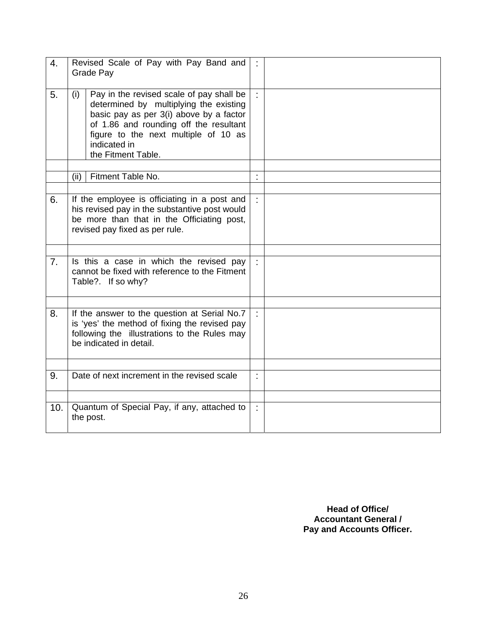| 4.  | Revised Scale of Pay with Pay Band and<br>Grade Pay                                                                                                                                                                                                          | ÷  |  |
|-----|--------------------------------------------------------------------------------------------------------------------------------------------------------------------------------------------------------------------------------------------------------------|----|--|
| 5.  | Pay in the revised scale of pay shall be<br>(i)<br>determined by multiplying the existing<br>basic pay as per 3(i) above by a factor<br>of 1.86 and rounding off the resultant<br>figure to the next multiple of 10 as<br>indicated in<br>the Fitment Table. | ÷. |  |
|     | Fitment Table No.<br>(ii)                                                                                                                                                                                                                                    |    |  |
|     |                                                                                                                                                                                                                                                              |    |  |
| 6.  | If the employee is officiating in a post and<br>his revised pay in the substantive post would<br>be more than that in the Officiating post,<br>revised pay fixed as per rule.                                                                                | ÷. |  |
|     |                                                                                                                                                                                                                                                              |    |  |
| 7.  | Is this a case in which the revised pay<br>cannot be fixed with reference to the Fitment<br>Table?. If so why?                                                                                                                                               |    |  |
|     |                                                                                                                                                                                                                                                              |    |  |
| 8.  | If the answer to the question at Serial No.7<br>is 'yes' the method of fixing the revised pay<br>following the illustrations to the Rules may<br>be indicated in detail.                                                                                     | ÷  |  |
|     |                                                                                                                                                                                                                                                              |    |  |
| 9.  | Date of next increment in the revised scale                                                                                                                                                                                                                  | ÷  |  |
|     |                                                                                                                                                                                                                                                              |    |  |
| 10. | Quantum of Special Pay, if any, attached to<br>the post.                                                                                                                                                                                                     | t, |  |

**Head of Office/ Accountant General / Pay and Accounts Officer.**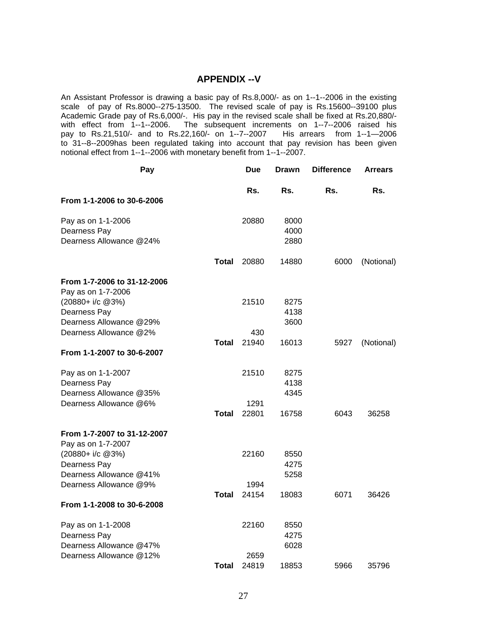#### **APPENDIX --V**

An Assistant Professor is drawing a basic pay of Rs.8,000/- as on 1--1--2006 in the existing scale of pay of Rs.8000--275-13500. The revised scale of pay is Rs.15600--39100 plus Academic Grade pay of Rs.6,000/-. His pay in the revised scale shall be fixed at Rs.20,880/ with effect from 1--1--2006. The subsequent increments on 1--7--2006 raised his pay to Rs.21,510/- and to Rs.22,160/- on 1--7--2007 His arrears from 1--1-2006 to 31--8--2009has been regulated taking into account that pay revision has been given notional effect from 1--1--2006 with monetary benefit from 1--1--2007.

| Pay                                    | Due           | <b>Drawn</b> | <b>Difference</b> | <b>Arrears</b> |
|----------------------------------------|---------------|--------------|-------------------|----------------|
| From 1-1-2006 to 30-6-2006             | Rs.           | Rs.          | Rs.               | Rs.            |
|                                        |               |              |                   |                |
| Pay as on 1-1-2006                     | 20880         | 8000         |                   |                |
| Dearness Pay                           |               | 4000         |                   |                |
| Dearness Allowance @24%                |               | 2880         |                   |                |
| <b>Total</b>                           | 20880         | 14880        | 6000              | (Notional)     |
| From 1-7-2006 to 31-12-2006            |               |              |                   |                |
| Pay as on 1-7-2006                     |               |              |                   |                |
| $(20880 + i/c \ @3\%)$                 | 21510         | 8275         |                   |                |
| Dearness Pay                           |               | 4138         |                   |                |
| Dearness Allowance @29%                |               | 3600         |                   |                |
| Dearness Allowance @2%<br><b>Total</b> | 430<br>21940  | 16013        | 5927              | (Notional)     |
| From 1-1-2007 to 30-6-2007             |               |              |                   |                |
| Pay as on 1-1-2007                     | 21510         | 8275         |                   |                |
| Dearness Pay                           |               | 4138         |                   |                |
| Dearness Allowance @35%                |               | 4345         |                   |                |
| Dearness Allowance @6%                 | 1291          |              |                   |                |
| <b>Total</b>                           | 22801         | 16758        | 6043              | 36258          |
| From 1-7-2007 to 31-12-2007            |               |              |                   |                |
| Pay as on 1-7-2007                     |               |              |                   |                |
| (20880+ i/c @3%)<br>Dearness Pay       | 22160         | 8550<br>4275 |                   |                |
| Dearness Allowance @41%                |               | 5258         |                   |                |
| Dearness Allowance @9%                 | 1994          |              |                   |                |
| Total                                  | 24154         | 18083        | 6071              | 36426          |
| From 1-1-2008 to 30-6-2008             |               |              |                   |                |
| Pay as on 1-1-2008                     | 22160         | 8550         |                   |                |
| Dearness Pay                           |               | 4275         |                   |                |
| Dearness Allowance @47%                |               | 6028         |                   |                |
| Dearness Allowance @12%<br>Total       | 2659<br>24819 | 18853        | 5966              | 35796          |
|                                        |               |              |                   |                |